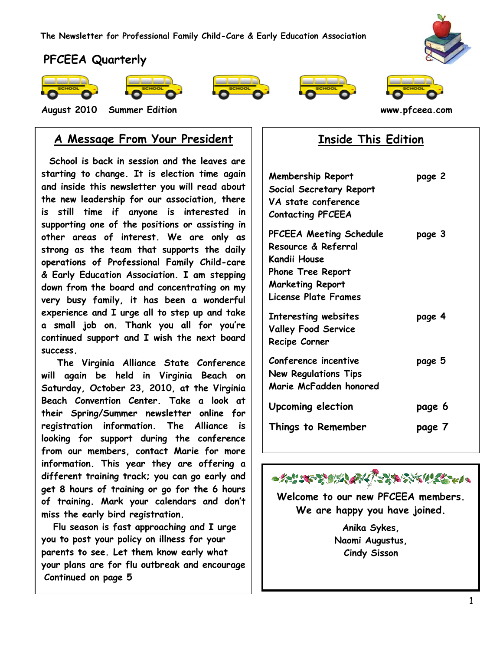

## **PFCEEA Quarterly**



**www.pfceea.com** 









**August 2010 Summer Edition www.pfceea.com** 

## **A Message From Your President**

 **School is back in session and the leaves are starting to change. It is election time again and inside this newsletter you will read about the new leadership for our association, there is still time if anyone is interested in supporting one of the positions or assisting in other areas of interest. We are only as strong as the team that supports the daily operations of Professional Family Child-care & Early Education Association. I am stepping down from the board and concentrating on my very busy family, it has been a wonderful experience and I urge all to step up and take a small job on. Thank you all for you're continued support and I wish the next board success.**

 **The Virginia Alliance State Conference will again be held in Virginia Beach on Saturday, October 23, 2010, at the Virginia Beach Convention Center. Take a look at their Spring/Summer newsletter online for registration information. The Alliance is looking for support during the conference from our members, contact Marie for more information. This year they are offering a different training track; you can go early and get 8 hours of training or go for the 6 hours of training. Mark your calendars and don't miss the early bird registration.** 

 **Flu season is fast approaching and I urge you to post your policy on illness for your parents to see. Let them know early what your plans are for flu outbreak and encourage Continued on page 5**

## **Inside This Edition**

| <b>Membership Report</b><br>Social Secretary Report<br>VA state conference<br><b>Contacting PFCEEA</b>                                        | page 2 |
|-----------------------------------------------------------------------------------------------------------------------------------------------|--------|
| PFCEEA Meeting Schedule<br>Resource & Referral<br>Kandii House<br><b>Phone Tree Report</b><br><b>Marketing Report</b><br>License Plate Frames | page 3 |
| Interesting websites<br><b>Valley Food Service</b><br>Recipe Corner                                                                           | page 4 |
| Conference incentive<br><b>New Regulations Tips</b><br>Marie McFadden honored                                                                 | page 5 |
| Upcoming election                                                                                                                             | page 6 |
| Things to Remember                                                                                                                            | page 7 |



**Welcome to our new PFCEEA members. We are happy you have joined.**

> **Anika Sykes, Naomi Augustus, Cindy Sisson**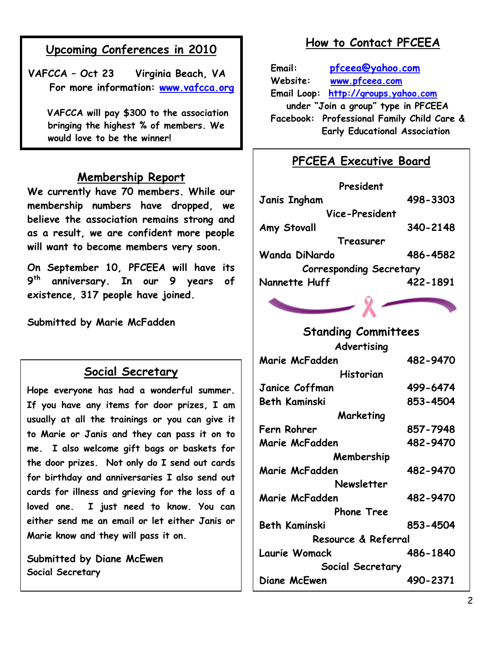## **Upcoming Conferences in 2010**

**VAFCCA – Oct 23 Virginia Beach, VA For more information: [www.vafcca.org](http://www.vafcca.org/)**

 **VAFCCA will pay \$300 to the association bringing the highest % of members. We would love to be the winner!**

#### **Membership Report**

**We currently have 70 members. While our membership numbers have dropped, we believe the association remains strong and as a result, we are confident more people will want to become members very soon.**

**On September 10, PFCEEA will have its 9 th anniversary. In our 9 years of existence, 317 people have joined.**

**Submitted by Marie McFadden**

### **Social Secretary**

**Hope everyone has had a wonderful summer. If you have any items for door prizes, I am usually at all the trainings or you can give it to Marie or Janis and they can pass it on to me. I also welcome gift bags or baskets for the door prizes. Not only do I send out cards for birthday and anniversaries I also send out cards for illness and grieving for the loss of a loved one. I just need to know. You can either send me an email or let either Janis or Marie know and they will pass it on.** 

**Submitted by Diane McEwen Social Secretary**

**diane\_terry.1@verizon.net**

## **How to Contact PFCEEA**

**Email: [pfceea@yahoo.com](mailto:pfceea@yahoo.com) Website: [www.pfceea.com](http://www.pfceea.com/) Email Loop: [http://groups.yahoo.com](http://groups.yahoo.com/) under "Join a group" type in PFCEEA Facebook: Professional Family Child Care & Early Educational Association**

## **PFCEEA Executive Board**

| President                      |          |
|--------------------------------|----------|
| <b>Janis Ingham</b>            | 498-3303 |
| Vice-President                 |          |
| Amy Stovall                    | 340-2148 |
| Treasurer                      |          |
| Wanda DiNardo                  | 486-4582 |
| <b>Corresponding Secretary</b> |          |
| Nannette Huff                  | 422-1891 |

# **Standing Committees**

**Advertising Marie McFadden 482-9470 Historian Janice Coffman 499-6474 Beth Kaminski 853-4504 Marketing Fern Rohrer 857-7948 Marie McFadden 482-9470 Membership Marie McFadden 482-9470 Newsletter Marie McFadden 482-9470 Phone Tree Beth Kaminski 853-4504 Resource & Referral Laurie Womack 486-1840 Social Secretary Diane McEwen 490-2371**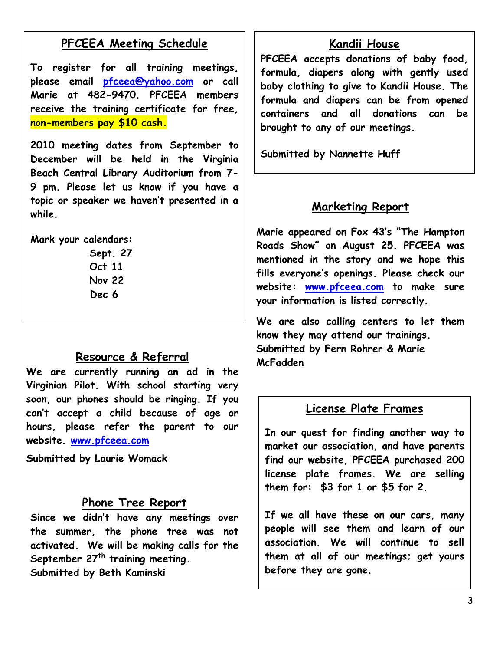## **PFCEEA Meeting Schedule**

**To register for all training meetings, please email [pfceea@yahoo.com](mailto:pfceea@yahoo.com) or call Marie at 482-9470. PFCEEA members receive the training certificate for free, non-members pay \$10 cash.**

**2010 meeting dates from September to December will be held in the Virginia Beach Central Library Auditorium from 7- 9 pm. Please let us know if you have a topic or speaker we haven't presented in a while.**

**Mark your calendars:**

**Sept. 27 Oct 11 Nov 22 Dec 6**

#### **Resource & Referral**

**We are currently running an ad in the Virginian Pilot. With school starting very soon, our phones should be ringing. If you can't accept a child because of age or hours, please refer the parent to our website. [www.pfceea.com](http://www.pfceea.com/)**

**Submitted by Laurie Womack**

#### **Phone Tree Report**

**Since we didn't have any meetings over the summer, the phone tree was not activated. We will be making calls for the September 27th training meeting. Submitted by Beth Kaminski**

#### **Kandii House**

**PFCEEA accepts donations of baby food, formula, diapers along with gently used baby clothing to give to Kandii House. The formula and diapers can be from opened containers and all donations can be brought to any of our meetings.**

**Submitted by Nannette Huff**

### **Marketing Report**

**Marie appeared on Fox 43's "The Hampton Roads Show" on August 25. PFCEEA was mentioned in the story and we hope this fills everyone's openings. Please check our website: [www.pfceea.com](http://www.pfceea.com/) to make sure your information is listed correctly.**

**We are also calling centers to let them know they may attend our trainings. Submitted by Fern Rohrer & Marie McFadden** 

#### **License Plate Frames**

**In our quest for finding another way to market our association, and have parents find our website, PFCEEA purchased 200 license plate frames. We are selling them for: \$3 for 1 or \$5 for 2.**

**If we all have these on our cars, many people will see them and learn of our association. We will continue to sell them at all of our meetings; get yours before they are gone.**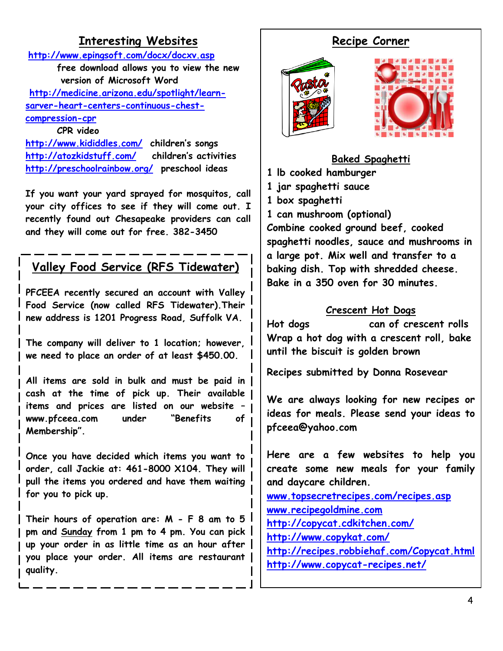## **Interesting Websites**

**<http://www.epingsoft.com/docx/docxv.asp> free download allows you to view the new version of Microsoft Word [http://medicine.arizona.edu/spotlight/learn](http://medicine.arizona.edu/spotlight/learn-sarver-heart-centers-continuous-chest-compression-cpr)[sarver-heart-centers-continuous-chest](http://medicine.arizona.edu/spotlight/learn-sarver-heart-centers-continuous-chest-compression-cpr)[compression-cpr](http://medicine.arizona.edu/spotlight/learn-sarver-heart-centers-continuous-chest-compression-cpr) CPR video**

## **<http://www.kididdles.com/>children's songs <http://atozkidstuff.com/>children's activities <http://preschoolrainbow.org/>preschool ideas**

**If you want your yard sprayed for mosquitos, call your city offices to see if they will come out. I recently found out Chesapeake providers can call and they will come out for free. 382-3450**

# **Valley Food Service (RFS Tidewater)**

 **PFCEEA recently secured an account with Valley Food Service (now called RFS Tidewater).Their new address is 1201 Progress Road, Suffolk VA.**

**The company will deliver to 1 location; however, we need to place an order of at least \$450.00.**

**All items are sold in bulk and must be paid in cash at the time of pick up. Their available items and prices are listed on our website – www.pfceea.com under "Benefits of Membership".** 

 **for you to pick up. Once you have decided which items you want to order, call Jackie at: 461-8000 X104. They will pull the items you ordered and have them waiting** 

**Their hours of operation are: M - F 8 am to 5 pm and Sunday from 1 pm to 4 pm. You can pick up your order in as little time as an hour after you place your order. All items are restaurant quality.**

## **Recipe Corner**





**Baked Spaghetti**

**1 lb cooked hamburger**

**1 jar spaghetti sauce**

**1 box spaghetti**

**1 can mushroom (optional) Combine cooked ground beef, cooked spaghetti noodles, sauce and mushrooms in a large pot. Mix well and transfer to a baking dish. Top with shredded cheese. Bake in a 350 oven for 30 minutes.**

#### **Crescent Hot Dogs**

**Hot dogs can of crescent rolls Wrap a hot dog with a crescent roll, bake until the biscuit is golden brown**

**Recipes submitted by Donna Rosevear**

**We are always looking for new recipes or ideas for meals. Please send your ideas to pfceea@yahoo.com**

**Here are a few websites to help you create some new meals for your family and daycare children. [www.topsecretrecipes.com/recipes.asp](http://www.topsecretrecipes.com/recipes.asp) [www.recipegoldmine.com](http://www.recipegoldmine.com/) <http://copycat.cdkitchen.com/> <http://www.copykat.com/> <http://recipes.robbiehaf.com/Copycat.html> <http://www.copycat-recipes.net/>**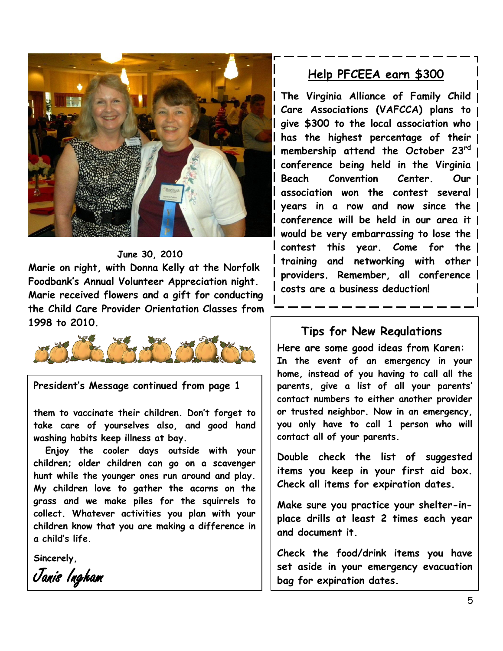

#### **June 30, 2010**

**Marie on right, with Donna Kelly at the Norfolk Foodbank's Annual Volunteer Appreciation night. Marie received flowers and a gift for conducting the Child Care Provider Orientation Classes from 1998 to 2010.**



**President's Message continued from page 1**

**them to vaccinate their children. Don't forget to take care of yourselves also, and good hand washing habits keep illness at bay.** 

 **hunt while the younger ones run around and play. Enjoy the cooler days outside with your children; older children can go on a scavenger My children love to gather the acorns on the grass and we make piles for the squirrels to collect. Whatever activities you plan with your children know that you are making a difference in a child's life.** 

**Sincerely,**

Janis Ingham

## **Help PFCEEA earn \$300**

**The Virginia Alliance of Family Child Care Associations (VAFCCA) plans to give \$300 to the local association who has the highest percentage of their membership attend the October 23rd conference being held in the Virginia Beach Convention Center. Our association won the contest several years in a row and now since the conference will be held in our area it would be very embarrassing to lose the contest this year. Come for the training and networking with other providers. Remember, all conference costs are a business deduction!**

#### **Tips for New Regulations**

**Here are some good ideas from Karen: In the event of an emergency in your home, instead of you having to call all the parents, give a list of all your parents' contact numbers to either another provider or trusted neighbor. Now in an emergency, you only have to call 1 person who will contact all of your parents.** 

**Double check the list of suggested items you keep in your first aid box. Check all items for expiration dates.**

**Make sure you practice your shelter-inplace drills at least 2 times each year and document it.**

**Check the food/drink items you have set aside in your emergency evacuation bag for expiration dates.**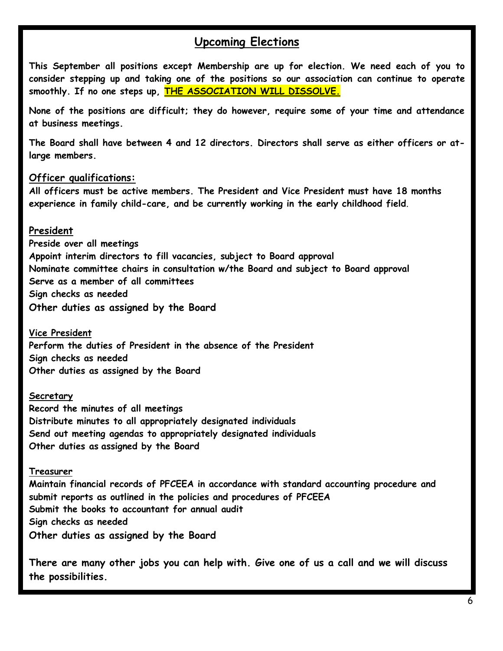#### **Upcoming Elections**

**This September all positions except Membership are up for election. We need each of you to consider stepping up and taking one of the positions so our association can continue to operate smoothly. If no one steps up, THE ASSOCIATION WILL DISSOLVE.**

**None of the positions are difficult; they do however, require some of your time and attendance at business meetings.** 

**The Board shall have between 4 and 12 directors. Directors shall serve as either officers or atlarge members.**

#### **Officer qualifications:**

**All officers must be active members. The President and Vice President must have 18 months experience in family child-care, and be currently working in the early childhood field**.

#### **President**

**Preside over all meetings Appoint interim directors to fill vacancies, subject to Board approval Nominate committee chairs in consultation w/the Board and subject to Board approval Serve as a member of all committees Sign checks as needed Other duties as assigned by the Board**

**Vice President Perform the duties of President in the absence of the President Sign checks as needed Other duties as assigned by the Board**

#### **Secretary**

**Record the minutes of all meetings Distribute minutes to all appropriately designated individuals Send out meeting agendas to appropriately designated individuals Other duties as assigned by the Board**

#### **Treasurer**

**Maintain financial records of PFCEEA in accordance with standard accounting procedure and submit reports as outlined in the policies and procedures of PFCEEA Submit the books to accountant for annual audit Sign checks as needed Other duties as assigned by the Board**

There are many other jobs you can help with. Give one of us a call and we will discuss<br>the pessibilities **the possibilities.**